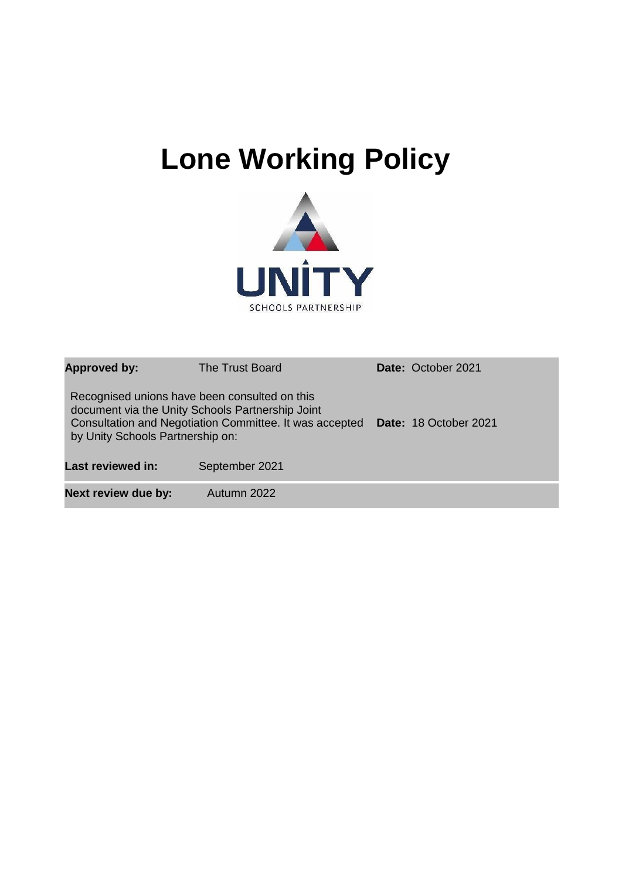# **Lone Working Policy**



| <b>Approved by:</b>                                                               | The Trust Board                                                                                             | Date: October 2021    |
|-----------------------------------------------------------------------------------|-------------------------------------------------------------------------------------------------------------|-----------------------|
| Recognised unions have been consulted on this<br>by Unity Schools Partnership on: | document via the Unity Schools Partnership Joint<br>Consultation and Negotiation Committee. It was accepted | Date: 18 October 2021 |
| <b>Last reviewed in:</b>                                                          | September 2021                                                                                              |                       |
| <b>Next review due by:</b>                                                        | Autumn 2022                                                                                                 |                       |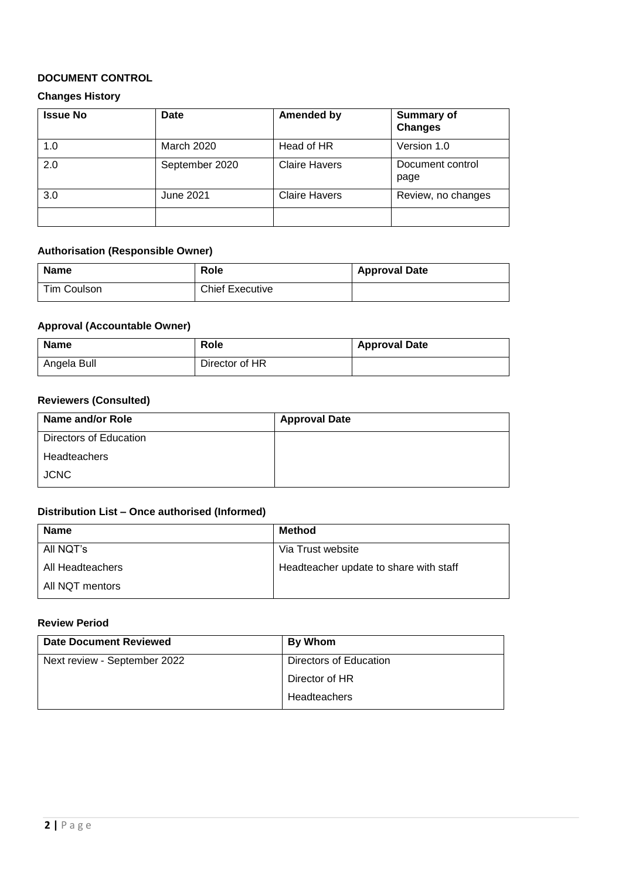#### **DOCUMENT CONTROL**

#### **Changes History**

| <b>Issue No</b> | <b>Date</b>       | <b>Amended by</b>    | <b>Summary of</b><br><b>Changes</b> |
|-----------------|-------------------|----------------------|-------------------------------------|
| 1.0             | <b>March 2020</b> | Head of HR           | Version 1.0                         |
| 2.0             | September 2020    | <b>Claire Havers</b> | Document control<br>page            |
| 3.0             | June 2021         | <b>Claire Havers</b> | Review, no changes                  |
|                 |                   |                      |                                     |

## **Authorisation (Responsible Owner)**

| <b>Name</b> | Role                   | <b>Approval Date</b> |
|-------------|------------------------|----------------------|
| Tim Coulson | <b>Chief Executive</b> |                      |

#### **Approval (Accountable Owner)**

| <b>Name</b> | Role           | <b>Approval Date</b> |
|-------------|----------------|----------------------|
| Angela Bull | Director of HR |                      |

#### **Reviewers (Consulted)**

| Name and/or Role       | <b>Approval Date</b> |
|------------------------|----------------------|
| Directors of Education |                      |
| Headteachers           |                      |
| <b>JCNC</b>            |                      |

#### **Distribution List – Once authorised (Informed)**

| <b>Name</b>      | Method                                 |
|------------------|----------------------------------------|
| All NQT's        | Via Trust website                      |
| All Headteachers | Headteacher update to share with staff |
| All NQT mentors  |                                        |

#### **Review Period**

| <b>Date Document Reviewed</b> | By Whom                |
|-------------------------------|------------------------|
| Next review - September 2022  | Directors of Education |
|                               | Director of HR         |
|                               | Headteachers           |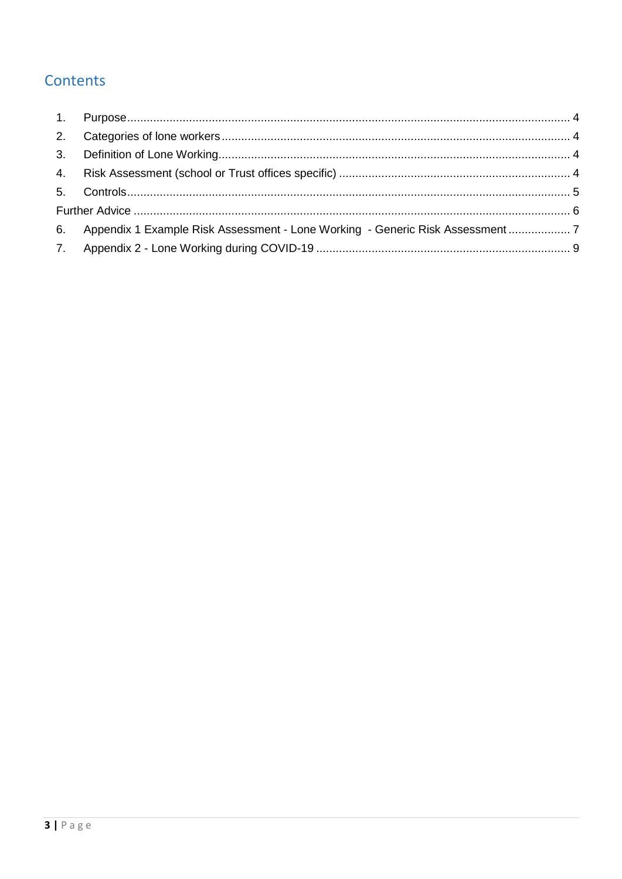# Contents

| 6. Appendix 1 Example Risk Assessment - Lone Working - Generic Risk Assessment  7 |  |
|-----------------------------------------------------------------------------------|--|
|                                                                                   |  |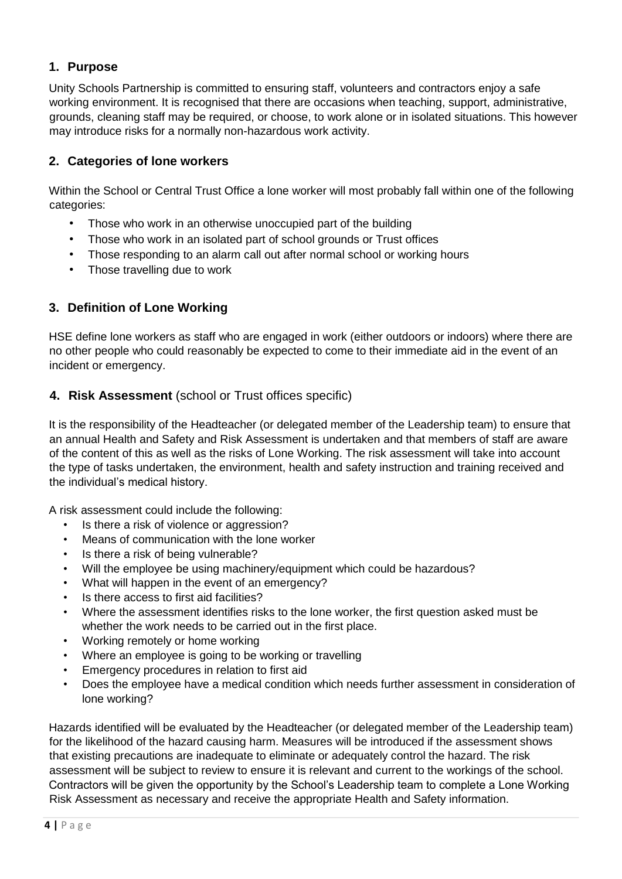# <span id="page-3-0"></span>**1. Purpose**

Unity Schools Partnership is committed to ensuring staff, volunteers and contractors enjoy a safe working environment. It is recognised that there are occasions when teaching, support, administrative, grounds, cleaning staff may be required, or choose, to work alone or in isolated situations. This however may introduce risks for a normally non-hazardous work activity.

## <span id="page-3-1"></span>**2. Categories of lone workers**

Within the School or Central Trust Office a lone worker will most probably fall within one of the following categories:

- Those who work in an otherwise unoccupied part of the building
- Those who work in an isolated part of school grounds or Trust offices
- Those responding to an alarm call out after normal school or working hours
- Those travelling due to work

## <span id="page-3-2"></span>**3. Definition of Lone Working**

HSE define lone workers as staff who are engaged in work (either outdoors or indoors) where there are no other people who could reasonably be expected to come to their immediate aid in the event of an incident or emergency.

## <span id="page-3-3"></span>**4. Risk Assessment** (school or Trust offices specific)

It is the responsibility of the Headteacher (or delegated member of the Leadership team) to ensure that an annual Health and Safety and Risk Assessment is undertaken and that members of staff are aware of the content of this as well as the risks of Lone Working. The risk assessment will take into account the type of tasks undertaken, the environment, health and safety instruction and training received and the individual's medical history.

A risk assessment could include the following:

- Is there a risk of violence or aggression?
- Means of communication with the lone worker
- Is there a risk of being vulnerable?
- Will the employee be using machinery/equipment which could be hazardous?
- What will happen in the event of an emergency?
- Is there access to first aid facilities?
- Where the assessment identifies risks to the lone worker, the first question asked must be whether the work needs to be carried out in the first place.
- Working remotely or home working
- Where an employee is going to be working or travelling
- Emergency procedures in relation to first aid
- Does the employee have a medical condition which needs further assessment in consideration of lone working?

Hazards identified will be evaluated by the Headteacher (or delegated member of the Leadership team) for the likelihood of the hazard causing harm. Measures will be introduced if the assessment shows that existing precautions are inadequate to eliminate or adequately control the hazard. The risk assessment will be subject to review to ensure it is relevant and current to the workings of the school. Contractors will be given the opportunity by the School's Leadership team to complete a Lone Working Risk Assessment as necessary and receive the appropriate Health and Safety information.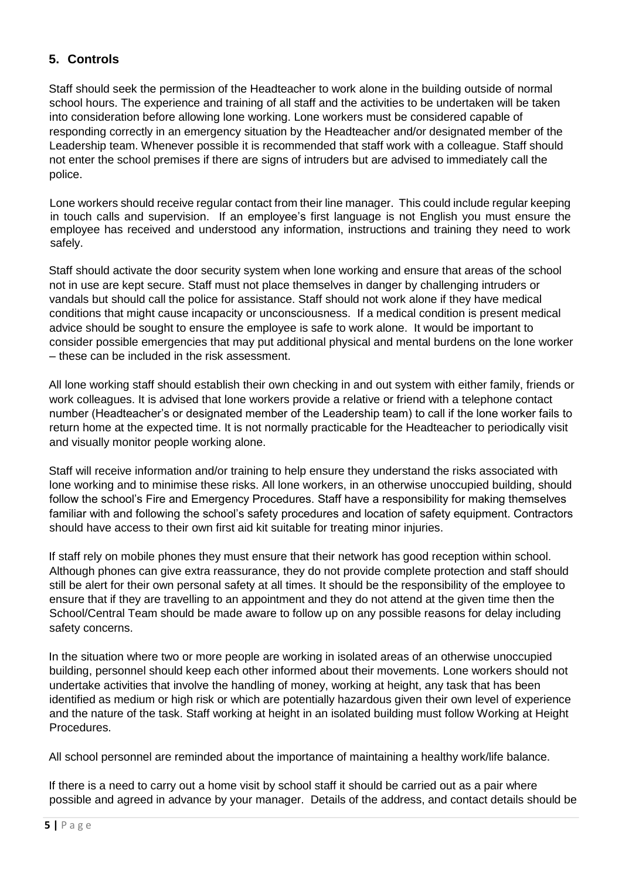# <span id="page-4-0"></span>**5. Controls**

Staff should seek the permission of the Headteacher to work alone in the building outside of normal school hours. The experience and training of all staff and the activities to be undertaken will be taken into consideration before allowing lone working. Lone workers must be considered capable of responding correctly in an emergency situation by the Headteacher and/or designated member of the Leadership team. Whenever possible it is recommended that staff work with a colleague. Staff should not enter the school premises if there are signs of intruders but are advised to immediately call the police.

Lone workers should receive regular contact from their line manager. This could include regular keeping in touch calls and supervision. If an employee's first language is not English you must ensure the employee has received and understood any information, instructions and training they need to work safely.

Staff should activate the door security system when lone working and ensure that areas of the school not in use are kept secure. Staff must not place themselves in danger by challenging intruders or vandals but should call the police for assistance. Staff should not work alone if they have medical conditions that might cause incapacity or unconsciousness. If a medical condition is present medical advice should be sought to ensure the employee is safe to work alone. It would be important to consider possible emergencies that may put additional physical and mental burdens on the lone worker – these can be included in the risk assessment.

All lone working staff should establish their own checking in and out system with either family, friends or work colleagues. It is advised that lone workers provide a relative or friend with a telephone contact number (Headteacher's or designated member of the Leadership team) to call if the lone worker fails to return home at the expected time. It is not normally practicable for the Headteacher to periodically visit and visually monitor people working alone.

Staff will receive information and/or training to help ensure they understand the risks associated with lone working and to minimise these risks. All lone workers, in an otherwise unoccupied building, should follow the school's Fire and Emergency Procedures. Staff have a responsibility for making themselves familiar with and following the school's safety procedures and location of safety equipment. Contractors should have access to their own first aid kit suitable for treating minor injuries.

If staff rely on mobile phones they must ensure that their network has good reception within school. Although phones can give extra reassurance, they do not provide complete protection and staff should still be alert for their own personal safety at all times. It should be the responsibility of the employee to ensure that if they are travelling to an appointment and they do not attend at the given time then the School/Central Team should be made aware to follow up on any possible reasons for delay including safety concerns.

In the situation where two or more people are working in isolated areas of an otherwise unoccupied building, personnel should keep each other informed about their movements. Lone workers should not undertake activities that involve the handling of money, working at height, any task that has been identified as medium or high risk or which are potentially hazardous given their own level of experience and the nature of the task. Staff working at height in an isolated building must follow Working at Height **Procedures** 

All school personnel are reminded about the importance of maintaining a healthy work/life balance.

If there is a need to carry out a home visit by school staff it should be carried out as a pair where possible and agreed in advance by your manager. Details of the address, and contact details should be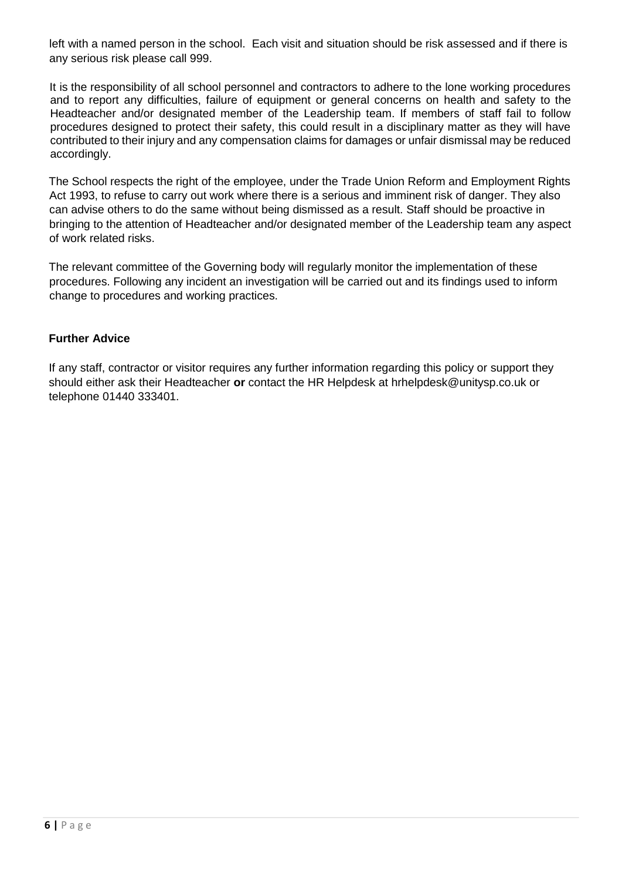left with a named person in the school. Each visit and situation should be risk assessed and if there is any serious risk please call 999.

It is the responsibility of all school personnel and contractors to adhere to the lone working procedures and to report any difficulties, failure of equipment or general concerns on health and safety to the Headteacher and/or designated member of the Leadership team. If members of staff fail to follow procedures designed to protect their safety, this could result in a disciplinary matter as they will have contributed to their injury and any compensation claims for damages or unfair dismissal may be reduced accordingly.

The School respects the right of the employee, under the Trade Union Reform and Employment Rights Act 1993, to refuse to carry out work where there is a serious and imminent risk of danger. They also can advise others to do the same without being dismissed as a result. Staff should be proactive in bringing to the attention of Headteacher and/or designated member of the Leadership team any aspect of work related risks.

The relevant committee of the Governing body will regularly monitor the implementation of these procedures. Following any incident an investigation will be carried out and its findings used to inform change to procedures and working practices.

#### <span id="page-5-0"></span>**Further Advice**

If any staff, contractor or visitor requires any further information regarding this policy or support they should either ask their Headteacher **or** contact the HR Helpdesk at hrhelpdesk@unitysp.co.uk or telephone 01440 333401.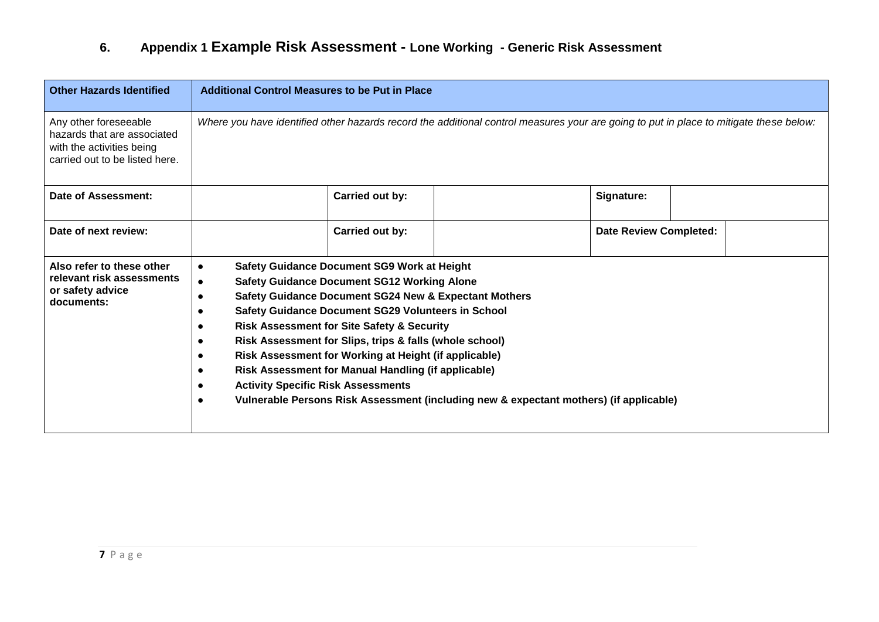# **6. Appendix 1 Example Risk Assessment - Lone Working - Generic Risk Assessment**

<span id="page-6-0"></span>

| <b>Other Hazards Identified</b>                                                                                     | <b>Additional Control Measures to be Put in Place</b>                                                                                                                                                                                                                                                                                                                                                                                                                                                                                                                                                                      |                               |  |  |
|---------------------------------------------------------------------------------------------------------------------|----------------------------------------------------------------------------------------------------------------------------------------------------------------------------------------------------------------------------------------------------------------------------------------------------------------------------------------------------------------------------------------------------------------------------------------------------------------------------------------------------------------------------------------------------------------------------------------------------------------------------|-------------------------------|--|--|
| Any other foreseeable<br>hazards that are associated<br>with the activities being<br>carried out to be listed here. | Where you have identified other hazards record the additional control measures your are going to put in place to mitigate these below:                                                                                                                                                                                                                                                                                                                                                                                                                                                                                     |                               |  |  |
| Date of Assessment:                                                                                                 | Carried out by:                                                                                                                                                                                                                                                                                                                                                                                                                                                                                                                                                                                                            | Signature:                    |  |  |
| Date of next review:                                                                                                | Carried out by:                                                                                                                                                                                                                                                                                                                                                                                                                                                                                                                                                                                                            | <b>Date Review Completed:</b> |  |  |
| Also refer to these other<br>relevant risk assessments<br>or safety advice<br>documents:                            | <b>Safety Guidance Document SG9 Work at Height</b><br>$\bullet$<br><b>Safety Guidance Document SG12 Working Alone</b><br><b>Safety Guidance Document SG24 New &amp; Expectant Mothers</b><br>Safety Guidance Document SG29 Volunteers in School<br><b>Risk Assessment for Site Safety &amp; Security</b><br>Risk Assessment for Slips, trips & falls (whole school)<br>Risk Assessment for Working at Height (if applicable)<br>Risk Assessment for Manual Handling (if applicable)<br><b>Activity Specific Risk Assessments</b><br>Vulnerable Persons Risk Assessment (including new & expectant mothers) (if applicable) |                               |  |  |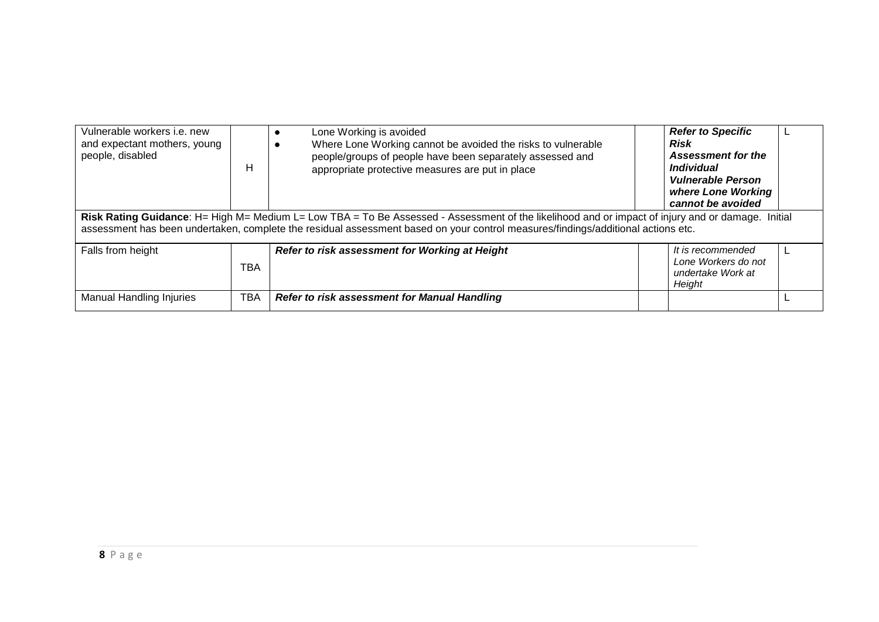| Vulnerable workers i.e. new<br>and expectant mothers, young<br>people, disabled                                                                                                                                                                                                       | н          | Lone Working is avoided<br>Where Lone Working cannot be avoided the risks to vulnerable<br>people/groups of people have been separately assessed and<br>appropriate protective measures are put in place |  | <b>Refer to Specific</b><br>Risk<br>Assessment for the<br><i><b>Individual</b></i><br><b>Vulnerable Person</b><br>where Lone Working<br>cannot be avoided |  |
|---------------------------------------------------------------------------------------------------------------------------------------------------------------------------------------------------------------------------------------------------------------------------------------|------------|----------------------------------------------------------------------------------------------------------------------------------------------------------------------------------------------------------|--|-----------------------------------------------------------------------------------------------------------------------------------------------------------|--|
| Risk Rating Guidance: H= High M= Medium L= Low TBA = To Be Assessed - Assessment of the likelihood and or impact of injury and or damage. Initial<br>assessment has been undertaken, complete the residual assessment based on your control measures/findings/additional actions etc. |            |                                                                                                                                                                                                          |  |                                                                                                                                                           |  |
| Falls from height                                                                                                                                                                                                                                                                     | TBA        | Refer to risk assessment for Working at Height                                                                                                                                                           |  | It is recommended<br>Lone Workers do not<br>undertake Work at<br>Height                                                                                   |  |
| <b>Manual Handling Injuries</b>                                                                                                                                                                                                                                                       | <b>TBA</b> | <b>Refer to risk assessment for Manual Handling</b>                                                                                                                                                      |  |                                                                                                                                                           |  |